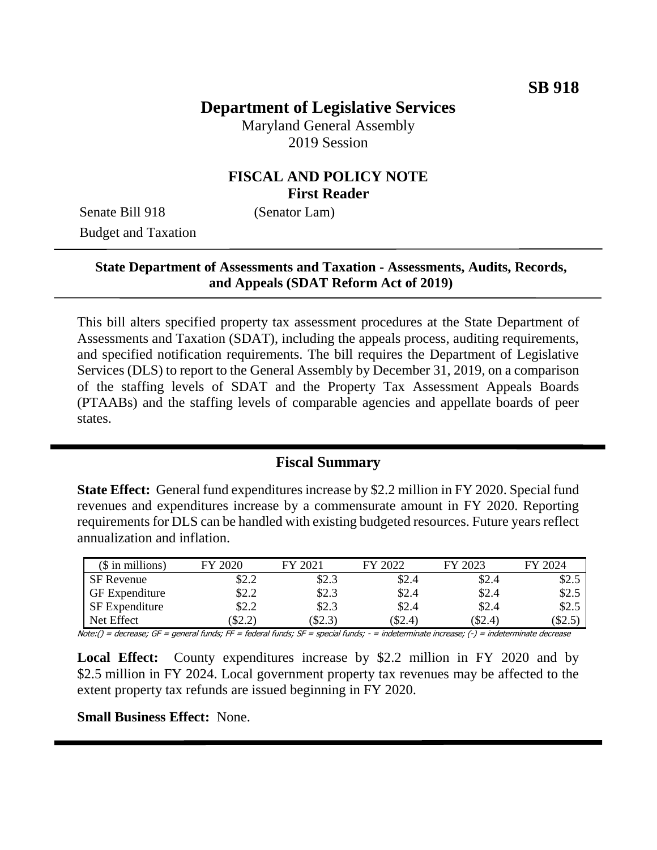# **Department of Legislative Services**

Maryland General Assembly 2019 Session

### **FISCAL AND POLICY NOTE First Reader**

Senate Bill 918 (Senator Lam) Budget and Taxation

### **State Department of Assessments and Taxation - Assessments, Audits, Records, and Appeals (SDAT Reform Act of 2019)**

This bill alters specified property tax assessment procedures at the State Department of Assessments and Taxation (SDAT), including the appeals process, auditing requirements, and specified notification requirements. The bill requires the Department of Legislative Services (DLS) to report to the General Assembly by December 31, 2019, on a comparison of the staffing levels of SDAT and the Property Tax Assessment Appeals Boards (PTAABs) and the staffing levels of comparable agencies and appellate boards of peer states.

### **Fiscal Summary**

**State Effect:** General fund expenditures increase by \$2.2 million in FY 2020. Special fund revenues and expenditures increase by a commensurate amount in FY 2020. Reporting requirements for DLS can be handled with existing budgeted resources. Future years reflect annualization and inflation.

| $$$ in millions)      | FY 2020 | FY 2021 | FY 2022   | FY 2023   | FY 2024 |
|-----------------------|---------|---------|-----------|-----------|---------|
| SF Revenue            | \$2.2   | \$2.3   | \$2.4     | \$2.4     | \$2.5   |
| <b>GF</b> Expenditure | \$2.2   | \$2.3   | \$2.4     | \$2.4     | \$2.5   |
| <b>SF</b> Expenditure | \$2.2   | \$2.3   | \$2.4     | \$2.4     | \$2.5   |
| Net Effect            | \$2.2   | \$2.3   | $(\$2.4)$ | $(\$2.4)$ | \$2.5   |

Note:() = decrease; GF = general funds; FF = federal funds; SF = special funds; - = indeterminate increase; (-) = indeterminate decrease

**Local Effect:** County expenditures increase by \$2.2 million in FY 2020 and by \$2.5 million in FY 2024. Local government property tax revenues may be affected to the extent property tax refunds are issued beginning in FY 2020.

**Small Business Effect:** None.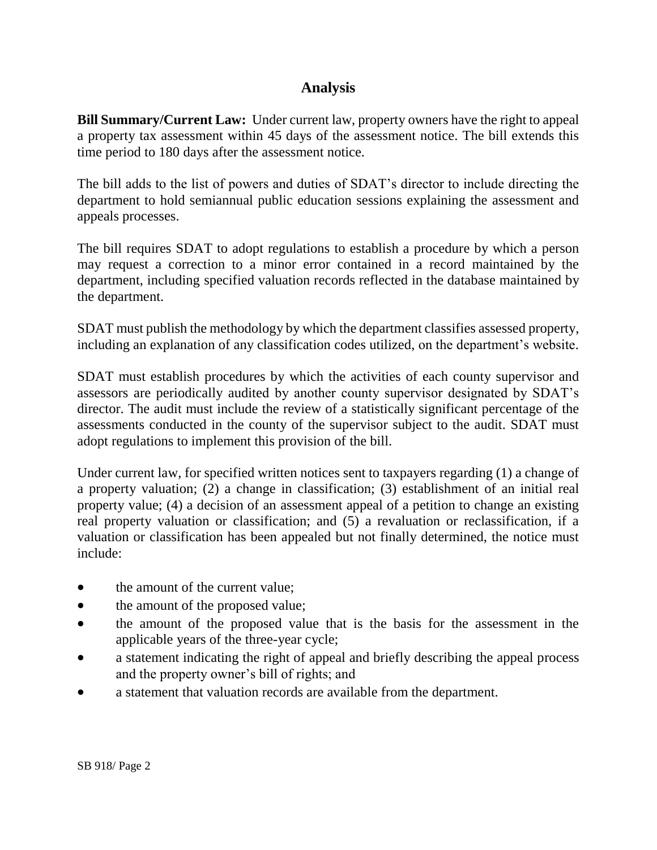# **Analysis**

**Bill Summary/Current Law:** Under current law, property owners have the right to appeal a property tax assessment within 45 days of the assessment notice. The bill extends this time period to 180 days after the assessment notice.

The bill adds to the list of powers and duties of SDAT's director to include directing the department to hold semiannual public education sessions explaining the assessment and appeals processes.

The bill requires SDAT to adopt regulations to establish a procedure by which a person may request a correction to a minor error contained in a record maintained by the department, including specified valuation records reflected in the database maintained by the department.

SDAT must publish the methodology by which the department classifies assessed property, including an explanation of any classification codes utilized, on the department's website.

SDAT must establish procedures by which the activities of each county supervisor and assessors are periodically audited by another county supervisor designated by SDAT's director. The audit must include the review of a statistically significant percentage of the assessments conducted in the county of the supervisor subject to the audit. SDAT must adopt regulations to implement this provision of the bill.

Under current law, for specified written notices sent to taxpayers regarding (1) a change of a property valuation; (2) a change in classification; (3) establishment of an initial real property value; (4) a decision of an assessment appeal of a petition to change an existing real property valuation or classification; and (5) a revaluation or reclassification, if a valuation or classification has been appealed but not finally determined, the notice must include:

- the amount of the current value:
- the amount of the proposed value;
- the amount of the proposed value that is the basis for the assessment in the applicable years of the three-year cycle;
- a statement indicating the right of appeal and briefly describing the appeal process and the property owner's bill of rights; and
- a statement that valuation records are available from the department.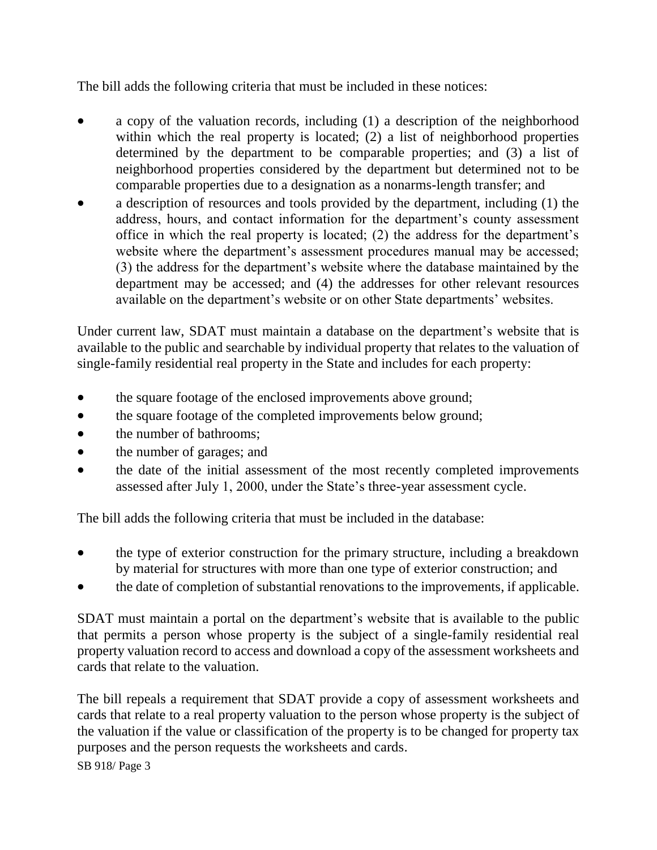The bill adds the following criteria that must be included in these notices:

- a copy of the valuation records, including (1) a description of the neighborhood within which the real property is located; (2) a list of neighborhood properties determined by the department to be comparable properties; and (3) a list of neighborhood properties considered by the department but determined not to be comparable properties due to a designation as a nonarms-length transfer; and
- a description of resources and tools provided by the department, including (1) the address, hours, and contact information for the department's county assessment office in which the real property is located; (2) the address for the department's website where the department's assessment procedures manual may be accessed; (3) the address for the department's website where the database maintained by the department may be accessed; and (4) the addresses for other relevant resources available on the department's website or on other State departments' websites.

Under current law, SDAT must maintain a database on the department's website that is available to the public and searchable by individual property that relates to the valuation of single-family residential real property in the State and includes for each property:

- the square footage of the enclosed improvements above ground;
- the square footage of the completed improvements below ground;
- the number of bathrooms;
- the number of garages; and
- the date of the initial assessment of the most recently completed improvements assessed after July 1, 2000, under the State's three-year assessment cycle.

The bill adds the following criteria that must be included in the database:

- the type of exterior construction for the primary structure, including a breakdown by material for structures with more than one type of exterior construction; and
- the date of completion of substantial renovations to the improvements, if applicable.

SDAT must maintain a portal on the department's website that is available to the public that permits a person whose property is the subject of a single-family residential real property valuation record to access and download a copy of the assessment worksheets and cards that relate to the valuation.

The bill repeals a requirement that SDAT provide a copy of assessment worksheets and cards that relate to a real property valuation to the person whose property is the subject of the valuation if the value or classification of the property is to be changed for property tax purposes and the person requests the worksheets and cards.

SB 918/ Page 3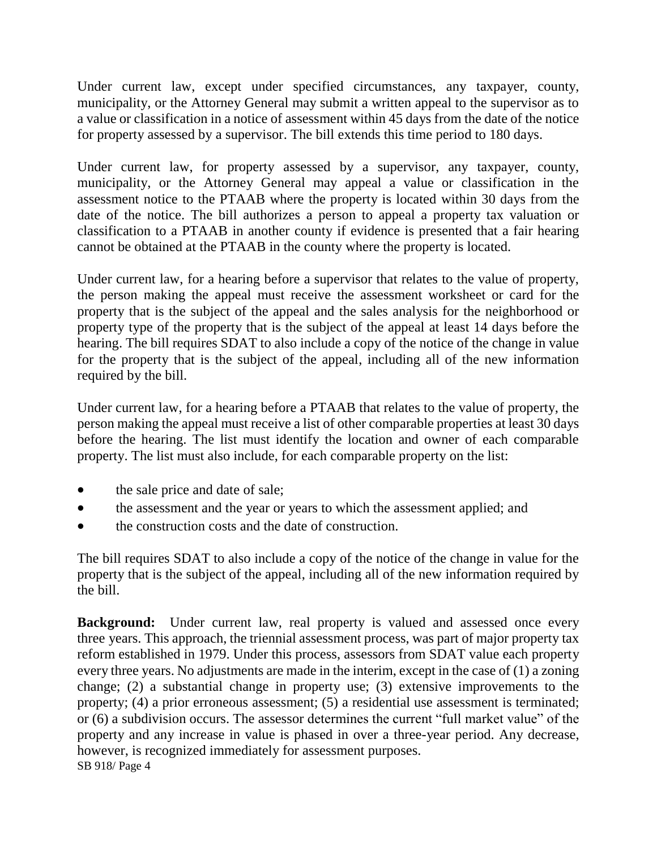Under current law, except under specified circumstances, any taxpayer, county, municipality, or the Attorney General may submit a written appeal to the supervisor as to a value or classification in a notice of assessment within 45 days from the date of the notice for property assessed by a supervisor. The bill extends this time period to 180 days.

Under current law, for property assessed by a supervisor, any taxpayer, county, municipality, or the Attorney General may appeal a value or classification in the assessment notice to the PTAAB where the property is located within 30 days from the date of the notice. The bill authorizes a person to appeal a property tax valuation or classification to a PTAAB in another county if evidence is presented that a fair hearing cannot be obtained at the PTAAB in the county where the property is located.

Under current law, for a hearing before a supervisor that relates to the value of property, the person making the appeal must receive the assessment worksheet or card for the property that is the subject of the appeal and the sales analysis for the neighborhood or property type of the property that is the subject of the appeal at least 14 days before the hearing. The bill requires SDAT to also include a copy of the notice of the change in value for the property that is the subject of the appeal, including all of the new information required by the bill.

Under current law, for a hearing before a PTAAB that relates to the value of property, the person making the appeal must receive a list of other comparable properties at least 30 days before the hearing. The list must identify the location and owner of each comparable property. The list must also include, for each comparable property on the list:

- the sale price and date of sale;
- the assessment and the year or years to which the assessment applied; and
- the construction costs and the date of construction.

The bill requires SDAT to also include a copy of the notice of the change in value for the property that is the subject of the appeal, including all of the new information required by the bill.

SB 918/ Page 4 **Background:** Under current law, real property is valued and assessed once every three years. This approach, the triennial assessment process, was part of major property tax reform established in 1979. Under this process, assessors from SDAT value each property every three years. No adjustments are made in the interim, except in the case of (1) a zoning change; (2) a substantial change in property use; (3) extensive improvements to the property; (4) a prior erroneous assessment; (5) a residential use assessment is terminated; or (6) a subdivision occurs. The assessor determines the current "full market value" of the property and any increase in value is phased in over a three-year period. Any decrease, however, is recognized immediately for assessment purposes.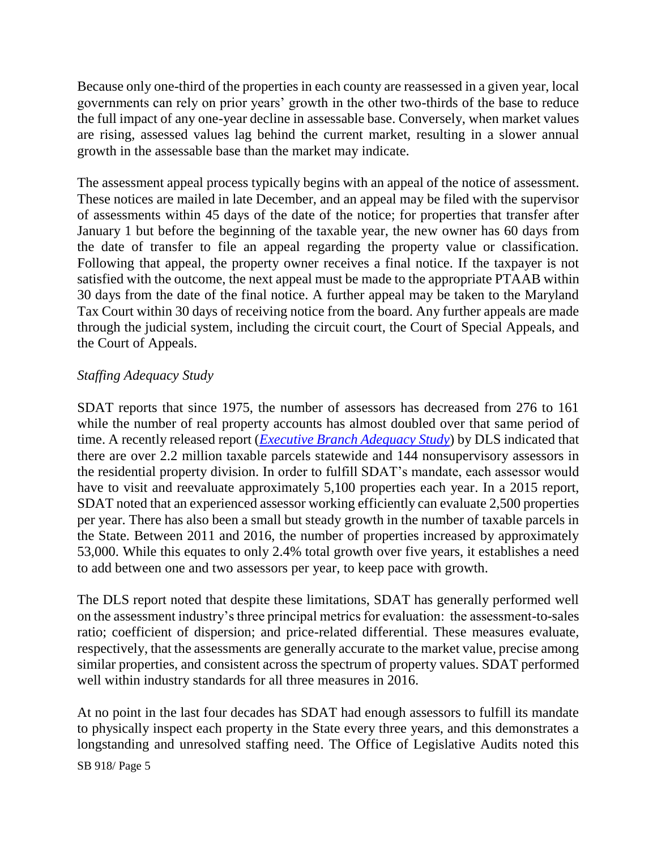Because only one-third of the properties in each county are reassessed in a given year, local governments can rely on prior years' growth in the other two-thirds of the base to reduce the full impact of any one-year decline in assessable base. Conversely, when market values are rising, assessed values lag behind the current market, resulting in a slower annual growth in the assessable base than the market may indicate.

The assessment appeal process typically begins with an appeal of the notice of assessment. These notices are mailed in late December, and an appeal may be filed with the supervisor of assessments within 45 days of the date of the notice; for properties that transfer after January 1 but before the beginning of the taxable year, the new owner has 60 days from the date of transfer to file an appeal regarding the property value or classification. Following that appeal, the property owner receives a final notice. If the taxpayer is not satisfied with the outcome, the next appeal must be made to the appropriate PTAAB within 30 days from the date of the final notice. A further appeal may be taken to the Maryland Tax Court within 30 days of receiving notice from the board. Any further appeals are made through the judicial system, including the circuit court, the Court of Special Appeals, and the Court of Appeals.

### *Staffing Adequacy Study*

SDAT reports that since 1975, the number of assessors has decreased from 276 to 161 while the number of real property accounts has almost doubled over that same period of time. A recently released report (*[Executive Branch Adequacy Study](http://dls.maryland.gov/pubs/prod/TaxFiscalPlan/Executive-Branch-Staffing-Adequacy-Study.pdf)*) by DLS indicated that there are over 2.2 million taxable parcels statewide and 144 nonsupervisory assessors in the residential property division. In order to fulfill SDAT's mandate, each assessor would have to visit and reevaluate approximately 5,100 properties each year. In a 2015 report, SDAT noted that an experienced assessor working efficiently can evaluate 2,500 properties per year. There has also been a small but steady growth in the number of taxable parcels in the State. Between 2011 and 2016, the number of properties increased by approximately 53,000. While this equates to only 2.4% total growth over five years, it establishes a need to add between one and two assessors per year, to keep pace with growth.

The DLS report noted that despite these limitations, SDAT has generally performed well on the assessment industry's three principal metrics for evaluation: the assessment-to-sales ratio; coefficient of dispersion; and price-related differential. These measures evaluate, respectively, that the assessments are generally accurate to the market value, precise among similar properties, and consistent across the spectrum of property values. SDAT performed well within industry standards for all three measures in 2016.

At no point in the last four decades has SDAT had enough assessors to fulfill its mandate to physically inspect each property in the State every three years, and this demonstrates a longstanding and unresolved staffing need. The Office of Legislative Audits noted this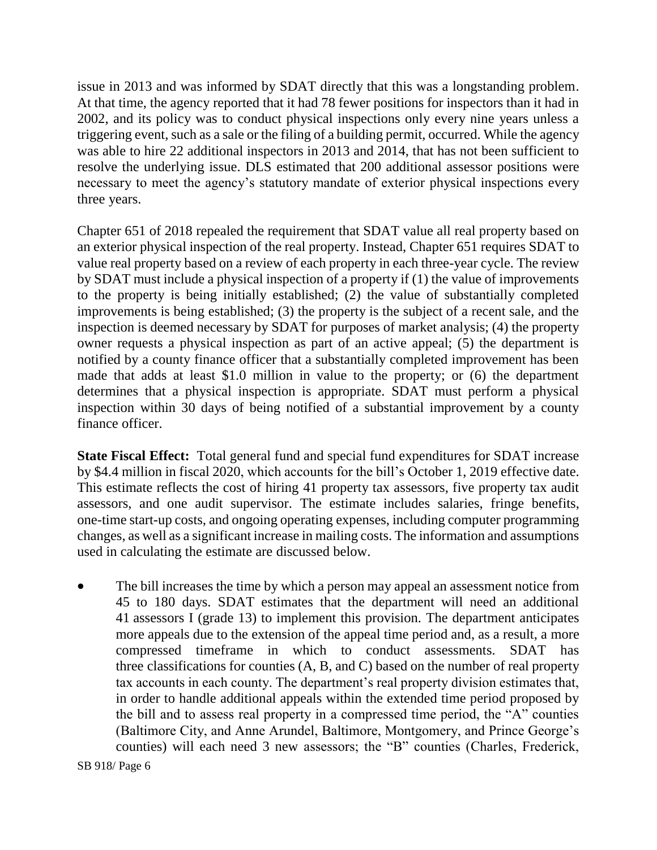issue in 2013 and was informed by SDAT directly that this was a longstanding problem. At that time, the agency reported that it had 78 fewer positions for inspectors than it had in 2002, and its policy was to conduct physical inspections only every nine years unless a triggering event, such as a sale or the filing of a building permit, occurred. While the agency was able to hire 22 additional inspectors in 2013 and 2014, that has not been sufficient to resolve the underlying issue. DLS estimated that 200 additional assessor positions were necessary to meet the agency's statutory mandate of exterior physical inspections every three years.

Chapter 651 of 2018 repealed the requirement that SDAT value all real property based on an exterior physical inspection of the real property. Instead, Chapter 651 requires SDAT to value real property based on a review of each property in each three-year cycle. The review by SDAT must include a physical inspection of a property if (1) the value of improvements to the property is being initially established; (2) the value of substantially completed improvements is being established; (3) the property is the subject of a recent sale, and the inspection is deemed necessary by SDAT for purposes of market analysis; (4) the property owner requests a physical inspection as part of an active appeal; (5) the department is notified by a county finance officer that a substantially completed improvement has been made that adds at least \$1.0 million in value to the property; or (6) the department determines that a physical inspection is appropriate. SDAT must perform a physical inspection within 30 days of being notified of a substantial improvement by a county finance officer.

**State Fiscal Effect:** Total general fund and special fund expenditures for SDAT increase by \$4.4 million in fiscal 2020, which accounts for the bill's October 1, 2019 effective date. This estimate reflects the cost of hiring 41 property tax assessors, five property tax audit assessors, and one audit supervisor. The estimate includes salaries, fringe benefits, one-time start-up costs, and ongoing operating expenses, including computer programming changes, as well as a significant increase in mailing costs. The information and assumptions used in calculating the estimate are discussed below.

 The bill increases the time by which a person may appeal an assessment notice from 45 to 180 days. SDAT estimates that the department will need an additional 41 assessors I (grade 13) to implement this provision. The department anticipates more appeals due to the extension of the appeal time period and, as a result, a more compressed timeframe in which to conduct assessments. SDAT has three classifications for counties (A, B, and C) based on the number of real property tax accounts in each county. The department's real property division estimates that, in order to handle additional appeals within the extended time period proposed by the bill and to assess real property in a compressed time period, the "A" counties (Baltimore City, and Anne Arundel, Baltimore, Montgomery, and Prince George's counties) will each need 3 new assessors; the "B" counties (Charles, Frederick,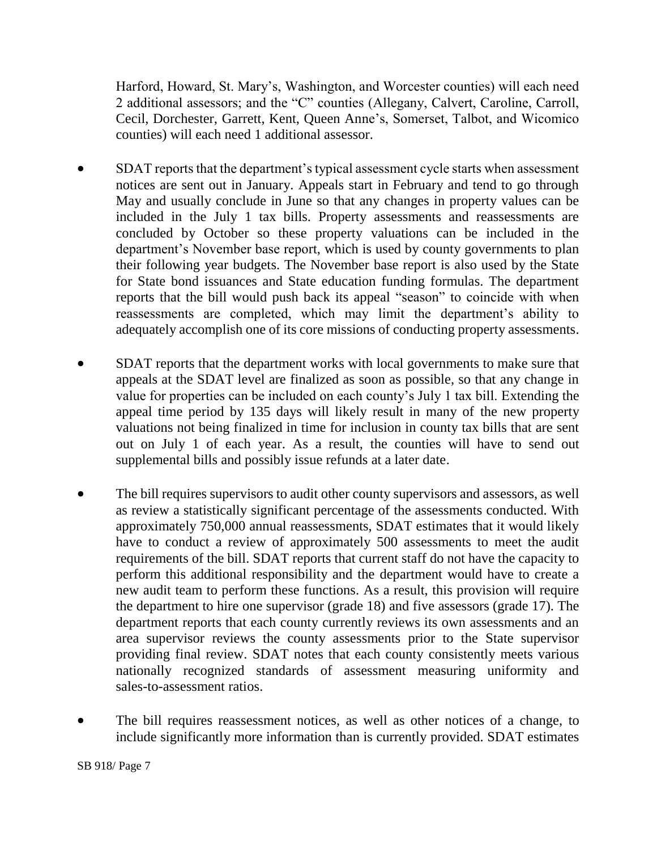Harford, Howard, St. Mary's, Washington, and Worcester counties) will each need 2 additional assessors; and the "C" counties (Allegany, Calvert, Caroline, Carroll, Cecil, Dorchester, Garrett, Kent, Queen Anne's, Somerset, Talbot, and Wicomico counties) will each need 1 additional assessor.

- SDAT reports that the department's typical assessment cycle starts when assessment notices are sent out in January. Appeals start in February and tend to go through May and usually conclude in June so that any changes in property values can be included in the July 1 tax bills. Property assessments and reassessments are concluded by October so these property valuations can be included in the department's November base report, which is used by county governments to plan their following year budgets. The November base report is also used by the State for State bond issuances and State education funding formulas. The department reports that the bill would push back its appeal "season" to coincide with when reassessments are completed, which may limit the department's ability to adequately accomplish one of its core missions of conducting property assessments.
- SDAT reports that the department works with local governments to make sure that appeals at the SDAT level are finalized as soon as possible, so that any change in value for properties can be included on each county's July 1 tax bill. Extending the appeal time period by 135 days will likely result in many of the new property valuations not being finalized in time for inclusion in county tax bills that are sent out on July 1 of each year. As a result, the counties will have to send out supplemental bills and possibly issue refunds at a later date.
- The bill requires supervisors to audit other county supervisors and assessors, as well as review a statistically significant percentage of the assessments conducted. With approximately 750,000 annual reassessments, SDAT estimates that it would likely have to conduct a review of approximately 500 assessments to meet the audit requirements of the bill. SDAT reports that current staff do not have the capacity to perform this additional responsibility and the department would have to create a new audit team to perform these functions. As a result, this provision will require the department to hire one supervisor (grade 18) and five assessors (grade 17). The department reports that each county currently reviews its own assessments and an area supervisor reviews the county assessments prior to the State supervisor providing final review. SDAT notes that each county consistently meets various nationally recognized standards of assessment measuring uniformity and sales-to-assessment ratios.
- The bill requires reassessment notices, as well as other notices of a change, to include significantly more information than is currently provided. SDAT estimates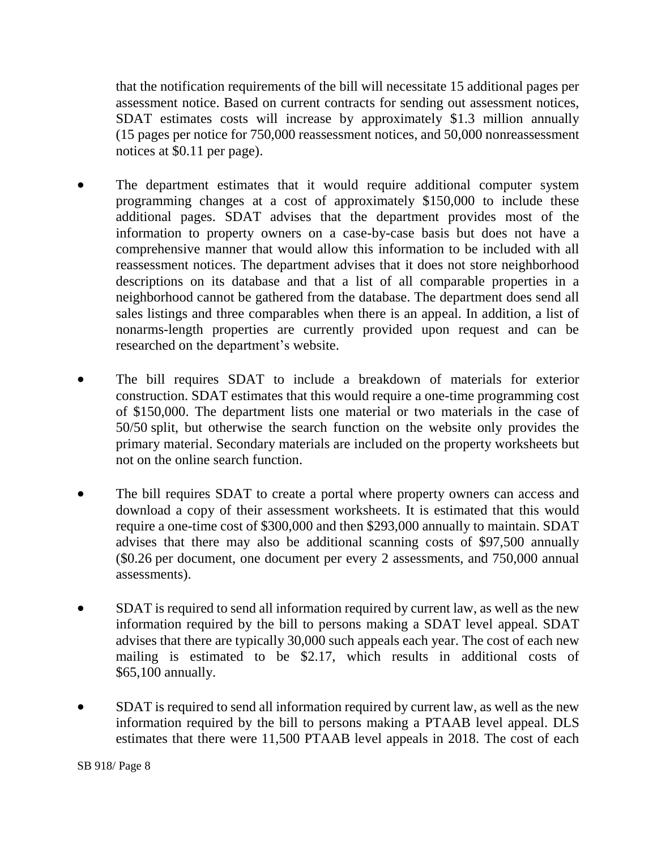that the notification requirements of the bill will necessitate 15 additional pages per assessment notice. Based on current contracts for sending out assessment notices, SDAT estimates costs will increase by approximately \$1.3 million annually (15 pages per notice for 750,000 reassessment notices, and 50,000 nonreassessment notices at \$0.11 per page).

- The department estimates that it would require additional computer system programming changes at a cost of approximately \$150,000 to include these additional pages. SDAT advises that the department provides most of the information to property owners on a case-by-case basis but does not have a comprehensive manner that would allow this information to be included with all reassessment notices. The department advises that it does not store neighborhood descriptions on its database and that a list of all comparable properties in a neighborhood cannot be gathered from the database. The department does send all sales listings and three comparables when there is an appeal. In addition, a list of nonarms-length properties are currently provided upon request and can be researched on the department's website.
- The bill requires SDAT to include a breakdown of materials for exterior construction. SDAT estimates that this would require a one-time programming cost of \$150,000. The department lists one material or two materials in the case of 50/50 split, but otherwise the search function on the website only provides the primary material. Secondary materials are included on the property worksheets but not on the online search function.
- The bill requires SDAT to create a portal where property owners can access and download a copy of their assessment worksheets. It is estimated that this would require a one-time cost of \$300,000 and then \$293,000 annually to maintain. SDAT advises that there may also be additional scanning costs of \$97,500 annually (\$0.26 per document, one document per every 2 assessments, and 750,000 annual assessments).
- SDAT is required to send all information required by current law, as well as the new information required by the bill to persons making a SDAT level appeal. SDAT advises that there are typically 30,000 such appeals each year. The cost of each new mailing is estimated to be \$2.17, which results in additional costs of \$65,100 annually.
- SDAT is required to send all information required by current law, as well as the new information required by the bill to persons making a PTAAB level appeal. DLS estimates that there were 11,500 PTAAB level appeals in 2018. The cost of each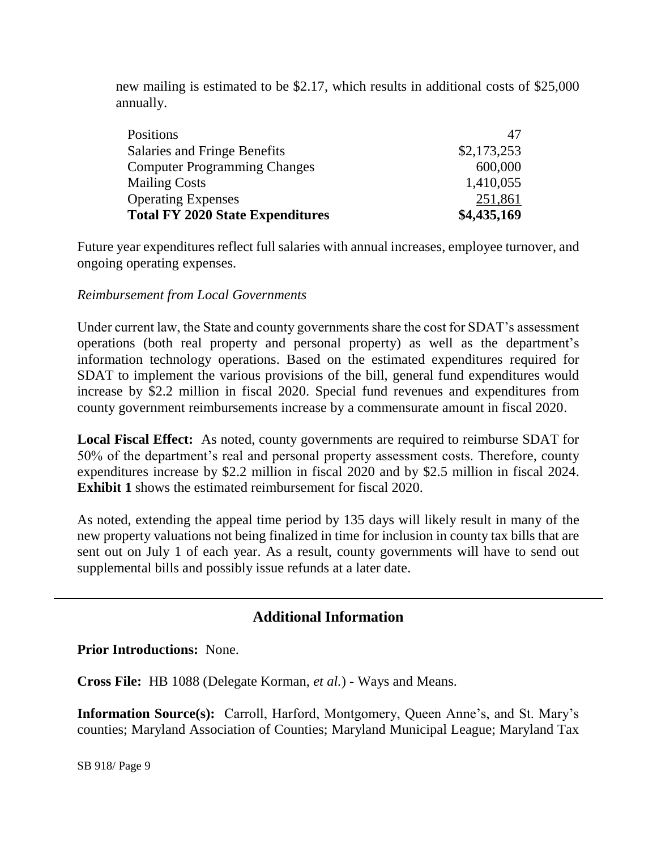new mailing is estimated to be \$2.17, which results in additional costs of \$25,000 annually.

| <b>Positions</b>                        | 47          |
|-----------------------------------------|-------------|
| Salaries and Fringe Benefits            | \$2,173,253 |
| <b>Computer Programming Changes</b>     | 600,000     |
| <b>Mailing Costs</b>                    | 1,410,055   |
| <b>Operating Expenses</b>               | 251,861     |
| <b>Total FY 2020 State Expenditures</b> | \$4,435,169 |

Future year expenditures reflect full salaries with annual increases, employee turnover, and ongoing operating expenses.

#### *Reimbursement from Local Governments*

Under current law, the State and county governments share the cost for SDAT's assessment operations (both real property and personal property) as well as the department's information technology operations. Based on the estimated expenditures required for SDAT to implement the various provisions of the bill, general fund expenditures would increase by \$2.2 million in fiscal 2020. Special fund revenues and expenditures from county government reimbursements increase by a commensurate amount in fiscal 2020.

**Local Fiscal Effect:** As noted, county governments are required to reimburse SDAT for 50% of the department's real and personal property assessment costs. Therefore, county expenditures increase by \$2.2 million in fiscal 2020 and by \$2.5 million in fiscal 2024. **Exhibit 1** shows the estimated reimbursement for fiscal 2020.

As noted, extending the appeal time period by 135 days will likely result in many of the new property valuations not being finalized in time for inclusion in county tax bills that are sent out on July 1 of each year. As a result, county governments will have to send out supplemental bills and possibly issue refunds at a later date.

# **Additional Information**

**Prior Introductions:** None.

**Cross File:** HB 1088 (Delegate Korman, *et al.*) - Ways and Means.

**Information Source(s):** Carroll, Harford, Montgomery, Queen Anne's, and St. Mary's counties; Maryland Association of Counties; Maryland Municipal League; Maryland Tax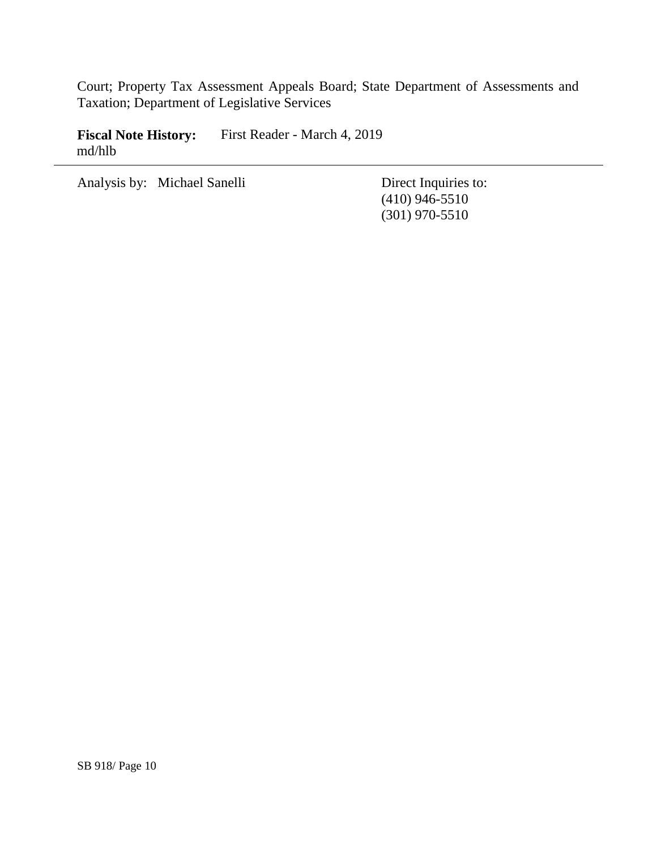Court; Property Tax Assessment Appeals Board; State Department of Assessments and Taxation; Department of Legislative Services

**Fiscal Note History:** First Reader - March 4, 2019 md/hlb

Analysis by: Michael Sanelli Direct Inquiries to:

(410) 946-5510 (301) 970-5510